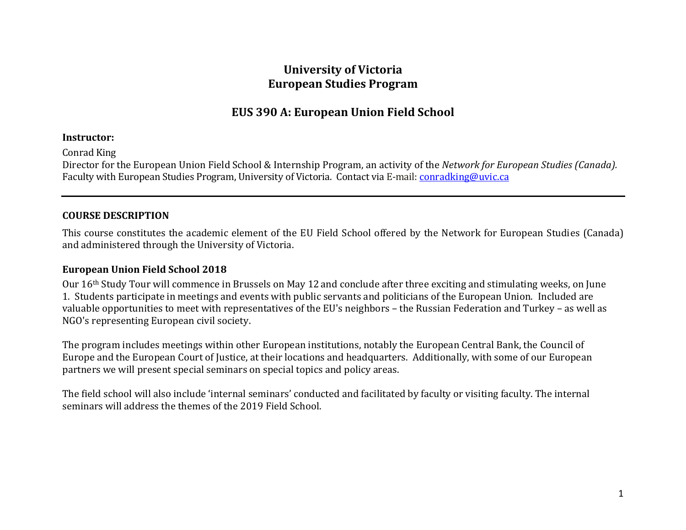# **University of Victoria European Studies Program**

# **EUS 390 A: European Union Field School**

### **Instructor:**

Conrad King

Director for the European Union Field School & Internship Program, an activity of the *Network for European Studies (Canada).* Faculty with European Studies Program, University of Victoria. Contact via E-mail: [conradking@uvic.ca](mailto:conradking@uvic.ca)

# **COURSE DESCRIPTION**

This course constitutes the academic element of the EU Field School offered by the Network for European Studies (Canada) and administered through the University of Victoria.

## **European Union Field School 2018**

Our 16th Study Tour will commence in Brussels on May 12 and conclude after three exciting and stimulating weeks, on June 1. Students participate in meetings and events with public servants and politicians of the European Union. Included are valuable opportunities to meet with representatives of the EU's neighbors – the Russian Federation and Turkey – as well as NGO's representing European civil society.

The program includes meetings within other European institutions, notably the European Central Bank, the Council of Europe and the European Court of Justice, at their locations and headquarters. Additionally, with some of our European partners we will present special seminars on special topics and policy areas.

The field school will also include 'internal seminars' conducted and facilitated by faculty or visiting faculty. The internal seminars will address the themes of the 2019 Field School.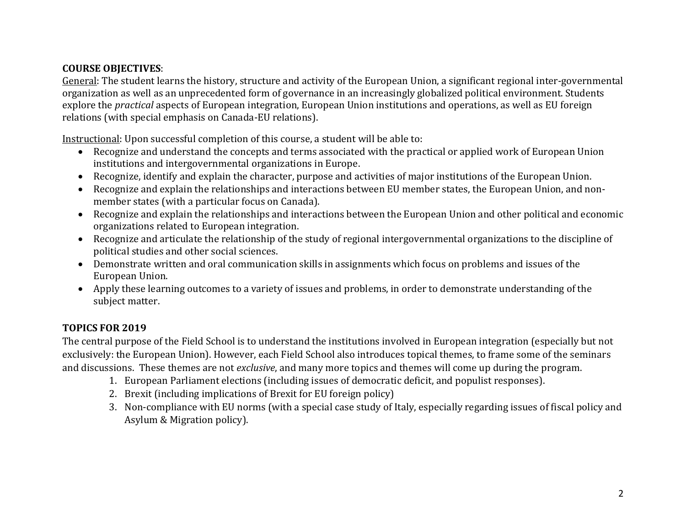# **COURSE OBJECTIVES**:

General: The student learns the history, structure and activity of the European Union, a significant regional inter-governmental organization as well as an unprecedented form of governance in an increasingly globalized political environment. Students explore the *practical* aspects of European integration, European Union institutions and operations, as well as EU foreign relations (with special emphasis on Canada-EU relations).

Instructional: Upon successful completion of this course, a student will be able to:

- Recognize and understand the concepts and terms associated with the practical or applied work of European Union institutions and intergovernmental organizations in Europe.
- Recognize, identify and explain the character, purpose and activities of major institutions of the European Union.
- Recognize and explain the relationships and interactions between EU member states, the European Union, and nonmember states (with a particular focus on Canada).
- Recognize and explain the relationships and interactions between the European Union and other political and economic organizations related to European integration.
- Recognize and articulate the relationship of the study of regional intergovernmental organizations to the discipline of political studies and other social sciences.
- Demonstrate written and oral communication skills in assignments which focus on problems and issues of the European Union.
- Apply these learning outcomes to a variety of issues and problems, in order to demonstrate understanding of the subject matter.

# **TOPICS FOR 2019**

The central purpose of the Field School is to understand the institutions involved in European integration (especially but not exclusively: the European Union). However, each Field School also introduces topical themes, to frame some of the seminars and discussions. These themes are not *exclusive*, and many more topics and themes will come up during the program.

- 1. European Parliament elections (including issues of democratic deficit, and populist responses).
- 2. Brexit (including implications of Brexit for EU foreign policy)
- 3. Non-compliance with EU norms (with a special case study of Italy, especially regarding issues of fiscal policy and Asylum & Migration policy).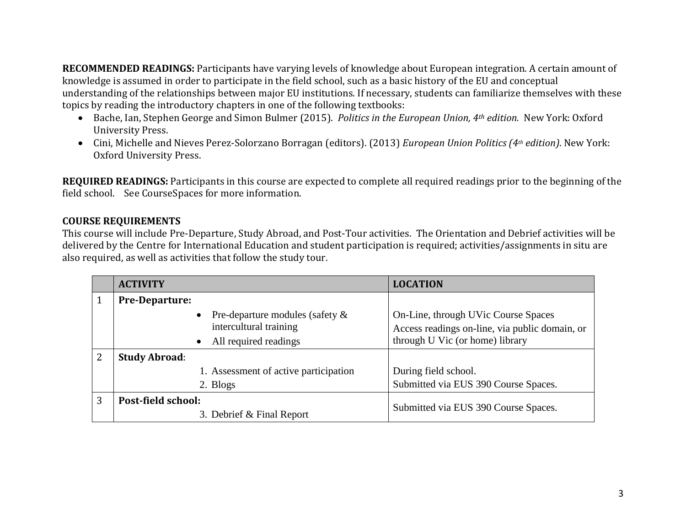**RECOMMENDED READINGS:** Participants have varying levels of knowledge about European integration. A certain amount of knowledge is assumed in order to participate in the field school, such as a basic history of the EU and conceptual understanding of the relationships between major EU institutions. If necessary, students can familiarize themselves with these topics by reading the introductory chapters in one of the following textbooks:

- [Bache,](http://www.amazon.com/Ian-Bache/e/B001H6MYUU/ref=dp_byline_cont_book_1) Ian, [Stephen George](http://www.amazon.com/Stephen-George/e/B001HOELLM/ref=dp_byline_cont_book_2) and [Simon Bulmer](http://www.amazon.com/s/ref=dp_byline_sr_book_3?ie=UTF8&field-author=Simon+Bulmer&search-alias=books&text=Simon+Bulmer&sort=relevancerank) (2015). *Politics in the European Union, 4th edition.* New York: Oxford University Press.
- Cini, Michelle and Nieves Perez-Solorzano Borragan (editors). (2013) *European Union Politics (4th edition)*. New York: Oxford University Press.

**REQUIRED READINGS:** Participants in this course are expected to complete all required readings prior to the beginning of the field school. See CourseSpaces for more information.

# **COURSE REQUIREMENTS**

This course will include Pre-Departure, Study Abroad, and Post-Tour activities. The Orientation and Debrief activities will be delivered by the Centre for International Education and student participation is required; activities/assignments in situ are also required, as well as activities that follow the study tour.

|   | <b>ACTIVITY</b>                       | <b>LOCATION</b>                                |  |
|---|---------------------------------------|------------------------------------------------|--|
|   | <b>Pre-Departure:</b>                 |                                                |  |
|   | Pre-departure modules (safety $\&$    | On-Line, through UVic Course Spaces            |  |
|   | intercultural training                | Access readings on-line, via public domain, or |  |
|   | All required readings<br>$\bullet$    | through U Vic (or home) library                |  |
| 2 | <b>Study Abroad:</b>                  |                                                |  |
|   | 1. Assessment of active participation | During field school.                           |  |
|   | 2. Blogs                              | Submitted via EUS 390 Course Spaces.           |  |
| 3 | Post-field school:                    |                                                |  |
|   | 3. Debrief & Final Report             | Submitted via EUS 390 Course Spaces.           |  |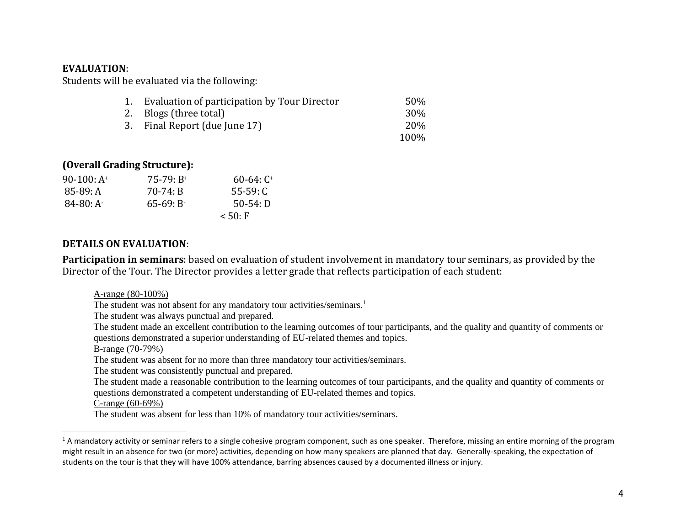#### **EVALUATION**:

Students will be evaluated via the following:

| 1. Evaluation of participation by Tour Director | 50% |
|-------------------------------------------------|-----|
| 2. Blogs (three total)                          | 30% |

- 3. Final Report (due June 17) 20%
	- 100%

### **(Overall Grading Structure):**

| $90-100: A^+$ | $75-79: B+$  | $60-64: C^+$ |
|---------------|--------------|--------------|
| 85-89: A      | 70-74: B     | $55-59:$ C   |
| $84-80:$ A    | $65-69: B^-$ | $50-54: D$   |
|               |              | < 50: F      |

#### **DETAILS ON EVALUATION**:

**Participation in seminars**: based on evaluation of student involvement in mandatory tour seminars, as provided by the Director of the Tour. The Director provides a letter grade that reflects participation of each student:

A-range (80-100%)

The student was not absent for any mandatory tour activities/seminars.<sup>1</sup>

The student was always punctual and prepared.

The student made an excellent contribution to the learning outcomes of tour participants, and the quality and quantity of comments or questions demonstrated a superior understanding of EU-related themes and topics.

B-range (70-79%)

The student was absent for no more than three mandatory tour activities/seminars.

The student was consistently punctual and prepared.

The student made a reasonable contribution to the learning outcomes of tour participants, and the quality and quantity of comments or questions demonstrated a competent understanding of EU-related themes and topics.

C-range (60-69%)

 $\overline{\phantom{a}}$ 

The student was absent for less than 10% of mandatory tour activities/seminars.

<sup>&</sup>lt;sup>1</sup> A mandatory activity or seminar refers to a single cohesive program component, such as one speaker. Therefore, missing an entire morning of the program might result in an absence for two (or more) activities, depending on how many speakers are planned that day. Generally-speaking, the expectation of students on the tour is that they will have 100% attendance, barring absences caused by a documented illness or injury.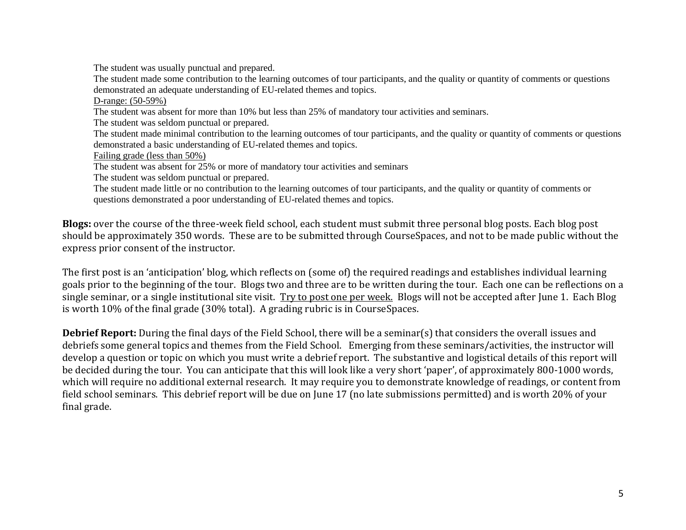The student was usually punctual and prepared.

The student made some contribution to the learning outcomes of tour participants, and the quality or quantity of comments or questions demonstrated an adequate understanding of EU-related themes and topics.

D-range: (50-59%)

The student was absent for more than 10% but less than 25% of mandatory tour activities and seminars.

The student was seldom punctual or prepared.

The student made minimal contribution to the learning outcomes of tour participants, and the quality or quantity of comments or questions demonstrated a basic understanding of EU-related themes and topics.

Failing grade (less than 50%)

The student was absent for 25% or more of mandatory tour activities and seminars

The student was seldom punctual or prepared.

The student made little or no contribution to the learning outcomes of tour participants, and the quality or quantity of comments or questions demonstrated a poor understanding of EU-related themes and topics.

**Blogs:** over the course of the three-week field school, each student must submit three personal blog posts. Each blog post should be approximately 350 words. These are to be submitted through CourseSpaces, and not to be made public without the express prior consent of the instructor.

The first post is an 'anticipation' blog, which reflects on (some of) the required readings and establishes individual learning goals prior to the beginning of the tour. Blogs two and three are to be written during the tour. Each one can be reflections on a single seminar, or a single institutional site visit. Try to post one per week. Blogs will not be accepted after June 1. Each Blog is worth 10% of the final grade (30% total). A grading rubric is in CourseSpaces.

**Debrief Report:** During the final days of the Field School, there will be a seminar(s) that considers the overall issues and debriefs some general topics and themes from the Field School. Emerging from these seminars/activities, the instructor will develop a question or topic on which you must write a debrief report. The substantive and logistical details of this report will be decided during the tour. You can anticipate that this will look like a very short 'paper', of approximately 800-1000 words, which will require no additional external research. It may require you to demonstrate knowledge of readings, or content from field school seminars. This debrief report will be due on June 17 (no late submissions permitted) and is worth 20% of your final grade.